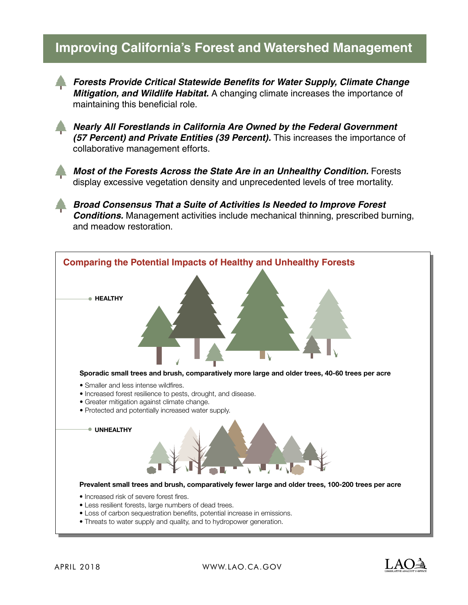# **Improving California's Forest and Watershed Management**



*Forests Provide Critical Statewide Benefits for Water Supply, Climate Change Mitigation, and Wildlife Habitat.* A changing climate increases the importance of maintaining this beneficial role.



*Nearly All Forestlands in California Are Owned by the Federal Government (57 Percent) and Private Entities (39 Percent).* This increases the importance of collaborative management efforts.



*Most of the Forests Across the State Are in an Unhealthy Condition. Forests* display excessive vegetation density and unprecedented levels of tree mortality.

*Broad Consensus That a Suite of Activities Is Needed to Improve Forest Conditions.* Management activities include mechanical thinning, prescribed burning, and meadow restoration.